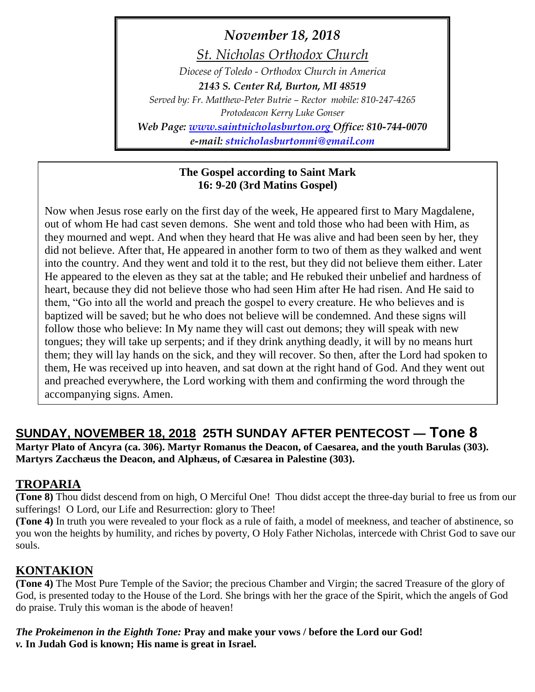*November 18, 2018*

*St. Nicholas Orthodox Church*

*Diocese of Toledo - Orthodox Church in America 2143 S. Center Rd, Burton, MI 48519 Served by: Fr. Matthew-Peter Butrie – Rector mobile: 810-247-4265 Protodeacon Kerry Luke Gonser Web Page: [www.saintnicholasburton.org](http://www.saintnicholasburton.org/) Office: 810-744-0070*

*e-mail: [stnicholasburtonmi@gmail.com](mailto:stnicholasburtonmi@gmail.com)*

#### **The Gospel according to Saint Mark 16: 9-20 (3rd Matins Gospel)**

Now when Jesus rose early on the first day of the week, He appeared first to Mary Magdalene, out of whom He had cast seven demons. She went and told those who had been with Him, as they mourned and wept. And when they heard that He was alive and had been seen by her, they did not believe. After that, He appeared in another form to two of them as they walked and went into the country. And they went and told it to the rest, but they did not believe them either. Later He appeared to the eleven as they sat at the table; and He rebuked their unbelief and hardness of heart, because they did not believe those who had seen Him after He had risen. And He said to them, "Go into all the world and preach the gospel to every creature. He who believes and is baptized will be saved; but he who does not believe will be condemned. And these signs will follow those who believe: In My name they will cast out demons; they will speak with new tongues; they will take up serpents; and if they drink anything deadly, it will by no means hurt them; they will lay hands on the sick, and they will recover. So then, after the Lord had spoken to them, He was received up into heaven, and sat down at the right hand of God. And they went out and preached everywhere, the Lord working with them and confirming the word through the accompanying signs. Amen.

# **SUNDAY, NOVEMBER 18, 2018 25TH SUNDAY AFTER PENTECOST — Tone 8**

**Martyr Plato of Ancyra (ca. 306). Martyr Romanus the Deacon, of Caesarea, and the youth Barulas (303). Martyrs Zacchæus the Deacon, and Alphæus, of Cæsarea in Palestine (303).**

### **TROPARIA**

**(Tone 8)** Thou didst descend from on high, O Merciful One! Thou didst accept the three-day burial to free us from our sufferings! O Lord, our Life and Resurrection: glory to Thee!

**(Tone 4)** In truth you were revealed to your flock as a rule of faith, a model of meekness, and teacher of abstinence, so you won the heights by humility, and riches by poverty, O Holy Father Nicholas, intercede with Christ God to save our souls.

## **KONTAKION**

**(Tone 4)** The Most Pure Temple of the Savior; the precious Chamber and Virgin; the sacred Treasure of the glory of God, is presented today to the House of the Lord. She brings with her the grace of the Spirit, which the angels of God do praise. Truly this woman is the abode of heaven!

*The Prokeimenon in the Eighth Tone:* **Pray and make your vows / before the Lord our God!** *v.* **In Judah God is known; His name is great in Israel.**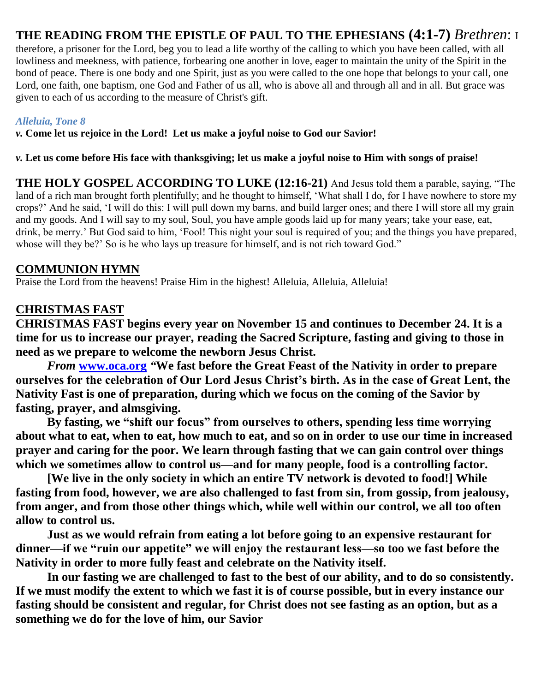### **THE READING FROM THE EPISTLE OF PAUL TO THE EPHESIANS (4:1-7)** *Brethren*: I

therefore, a prisoner for the Lord, beg you to lead a life worthy of the calling to which you have been called, with all lowliness and meekness, with patience, forbearing one another in love, eager to maintain the unity of the Spirit in the bond of peace. There is one body and one Spirit, just as you were called to the one hope that belongs to your call, one Lord, one faith, one baptism, one God and Father of us all, who is above all and through all and in all. But grace was given to each of us according to the measure of Christ's gift.

#### *Alleluia, Tone 8*

*v.* **Come let us rejoice in the Lord! Let us make a joyful noise to God our Savior!**

*v.* **Let us come before His face with thanksgiving; let us make a joyful noise to Him with songs of praise!**

**THE HOLY GOSPEL ACCORDING TO LUKE (12:16-21)** And Jesus told them a parable, saying, "The land of a rich man brought forth plentifully; and he thought to himself, 'What shall I do, for I have nowhere to store my crops?' And he said, 'I will do this: I will pull down my barns, and build larger ones; and there I will store all my grain and my goods. And I will say to my soul, Soul, you have ample goods laid up for many years; take your ease, eat, drink, be merry.' But God said to him, 'Fool! This night your soul is required of you; and the things you have prepared, whose will they be?' So is he who lays up treasure for himself, and is not rich toward God."

#### **COMMUNION HYMN**

Praise the Lord from the heavens! Praise Him in the highest! Alleluia, Alleluia, Alleluia!

### **CHRISTMAS FAST**

**CHRISTMAS FAST begins every year on November 15 and continues to December 24. It is a time for us to increase our prayer, reading the Sacred Scripture, fasting and giving to those in need as we prepare to welcome the newborn Jesus Christ.**

*From* **[www.oca.org](http://www.oca.org/)** *"***We fast before the Great Feast of the Nativity in order to prepare ourselves for the celebration of Our Lord Jesus Christ's birth. As in the case of Great Lent, the Nativity Fast is one of preparation, during which we focus on the coming of the Savior by fasting, prayer, and almsgiving.**

**By fasting, we "shift our focus" from ourselves to others, spending less time worrying about what to eat, when to eat, how much to eat, and so on in order to use our time in increased prayer and caring for the poor. We learn through fasting that we can gain control over things which we sometimes allow to control us—and for many people, food is a controlling factor.**

**[We live in the only society in which an entire TV network is devoted to food!] While fasting from food, however, we are also challenged to fast from sin, from gossip, from jealousy, from anger, and from those other things which, while well within our control, we all too often allow to control us.**

**Just as we would refrain from eating a lot before going to an expensive restaurant for dinner—if we "ruin our appetite" we will enjoy the restaurant less—so too we fast before the Nativity in order to more fully feast and celebrate on the Nativity itself.**

**In our fasting we are challenged to fast to the best of our ability, and to do so consistently. If we must modify the extent to which we fast it is of course possible, but in every instance our fasting should be consistent and regular, for Christ does not see fasting as an option, but as a something we do for the love of him, our Savior**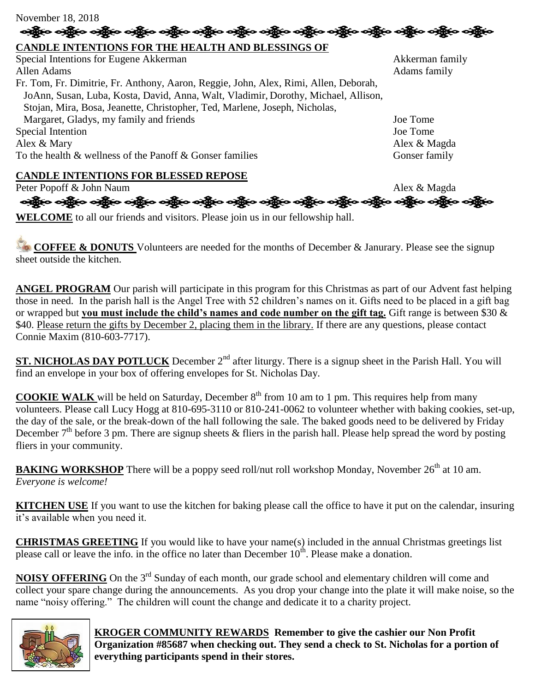| November 18, 2018                                                                    |                 |
|--------------------------------------------------------------------------------------|-----------------|
| ာရွိမ်ာ ဝန္တိယ ဝန္တိယ ဝန္တိယ ဝန္တိယ ဝန္တိယ ဝန္တိယ ဝန္                                |                 |
| CANDLE INTENTIONS FOR THE HEALTH AND BLESSINGS OF                                    |                 |
| Special Intentions for Eugene Akkerman                                               | Akkerman family |
| Allen Adams                                                                          | Adams family    |
| Fr. Tom, Fr. Dimitrie, Fr. Anthony, Aaron, Reggie, John, Alex, Rimi, Allen, Deborah, |                 |
| JoAnn, Susan, Luba, Kosta, David, Anna, Walt, Vladimir, Dorothy, Michael, Allison,   |                 |
| Stojan, Mira, Bosa, Jeanette, Christopher, Ted, Marlene, Joseph, Nicholas,           |                 |
| Margaret, Gladys, my family and friends                                              | Joe Tome        |
| Special Intention                                                                    | Joe Tome        |
| Alex & Mary                                                                          | Alex & Magda    |
| To the health & wellness of the Panoff & Gonser families                             | Gonser family   |
| <b>CANDLE INTENTIONS FOR BLESSED REPOSE</b>                                          |                 |
|                                                                                      |                 |

Peter Popoff & John Naum Alex & Magda

ဆန္တြာေ ခန္တြဲေ ခန္တြဲေ ခန္တြဲေ ခန္တြဲေ ခန္တြဲေ ခန္တြဲေ ခန္တြဲေ ခန္တြဲေ ခန္တြဲေ ခန္တြဲေ

**WELCOME** to all our friends and visitors. Please join us in our fellowship hall.

**COFFEE & DONUTS** Volunteers are needed for the months of December & Janurary. Please see the signup sheet outside the kitchen.

**ANGEL PROGRAM** Our parish will participate in this program for this Christmas as part of our Advent fast helping those in need. In the parish hall is the Angel Tree with 52 children's names on it. Gifts need to be placed in a gift bag or wrapped but **you must include the child's names and code number on the gift tag.** Gift range is between \$30 & \$40. Please return the gifts by December 2, placing them in the library. If there are any questions, please contact Connie Maxim (810-603-7717).

**ST. NICHOLAS DAY POTLUCK** December 2<sup>nd</sup> after liturgy. There is a signup sheet in the Parish Hall. You will find an envelope in your box of offering envelopes for St. Nicholas Day.

**COOKIE WALK** will be held on Saturday, December  $8<sup>th</sup>$  from 10 am to 1 pm. This requires help from many volunteers. Please call Lucy Hogg at 810-695-3110 or 810-241-0062 to volunteer whether with baking cookies, set-up, the day of the sale, or the break-down of the hall following the sale. The baked goods need to be delivered by Friday December  $7<sup>th</sup>$  before 3 pm. There are signup sheets & fliers in the parish hall. Please help spread the word by posting fliers in your community.

**BAKING WORKSHOP** There will be a poppy seed roll/nut roll workshop Monday, November 26<sup>th</sup> at 10 am. *Everyone is welcome!*

**KITCHEN USE** If you want to use the kitchen for baking please call the office to have it put on the calendar, insuring it's available when you need it.

**CHRISTMAS GREETING** If you would like to have your name(s) included in the annual Christmas greetings list please call or leave the info. in the office no later than December  $10<sup>th</sup>$ . Please make a donation.

**NOISY OFFERING** On the 3<sup>rd</sup> Sunday of each month, our grade school and elementary children will come and collect your spare change during the announcements. As you drop your change into the plate it will make noise, so the name "noisy offering." The children will count the change and dedicate it to a charity project.



 **KROGER COMMUNITY REWARDS Remember to give the cashier our Non Profit Organization #85687 when checking out. They send a check to St. Nicholas for a portion of everything participants spend in their stores.**